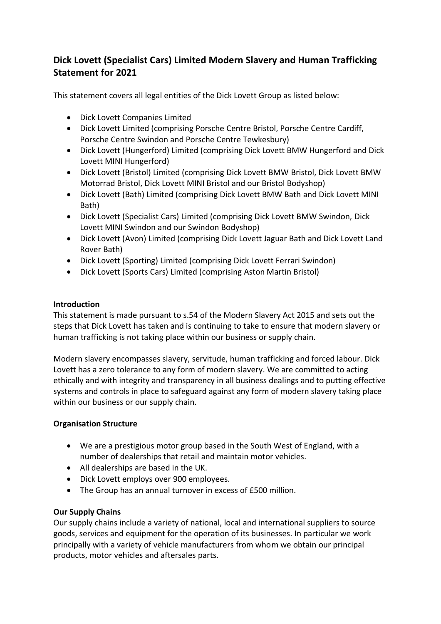# **Dick Lovett (Specialist Cars) Limited Modern Slavery and Human Trafficking Statement for 2021**

This statement covers all legal entities of the Dick Lovett Group as listed below:

- Dick Lovett Companies Limited
- Dick Lovett Limited (comprising Porsche Centre Bristol, Porsche Centre Cardiff, Porsche Centre Swindon and Porsche Centre Tewkesbury)
- Dick Lovett (Hungerford) Limited (comprising Dick Lovett BMW Hungerford and Dick Lovett MINI Hungerford)
- Dick Lovett (Bristol) Limited (comprising Dick Lovett BMW Bristol, Dick Lovett BMW Motorrad Bristol, Dick Lovett MINI Bristol and our Bristol Bodyshop)
- Dick Lovett (Bath) Limited (comprising Dick Lovett BMW Bath and Dick Lovett MINI Bath)
- Dick Lovett (Specialist Cars) Limited (comprising Dick Lovett BMW Swindon, Dick Lovett MINI Swindon and our Swindon Bodyshop)
- Dick Lovett (Avon) Limited (comprising Dick Lovett Jaguar Bath and Dick Lovett Land Rover Bath)
- Dick Lovett (Sporting) Limited (comprising Dick Lovett Ferrari Swindon)
- Dick Lovett (Sports Cars) Limited (comprising Aston Martin Bristol)

# **Introduction**

This statement is made pursuant to s.54 of the Modern Slavery Act 2015 and sets out the steps that Dick Lovett has taken and is continuing to take to ensure that modern slavery or human trafficking is not taking place within our business or supply chain.

Modern slavery encompasses slavery, servitude, human trafficking and forced labour. Dick Lovett has a zero tolerance to any form of modern slavery. We are committed to acting ethically and with integrity and transparency in all business dealings and to putting effective systems and controls in place to safeguard against any form of modern slavery taking place within our business or our supply chain.

# **Organisation Structure**

- We are a prestigious motor group based in the South West of England, with a number of dealerships that retail and maintain motor vehicles.
- All dealerships are based in the UK.
- Dick Lovett employs over 900 employees.
- The Group has an annual turnover in excess of £500 million.

# **Our Supply Chains**

Our supply chains include a variety of national, local and international suppliers to source goods, services and equipment for the operation of its businesses. In particular we work principally with a variety of vehicle manufacturers from whom we obtain our principal products, motor vehicles and aftersales parts.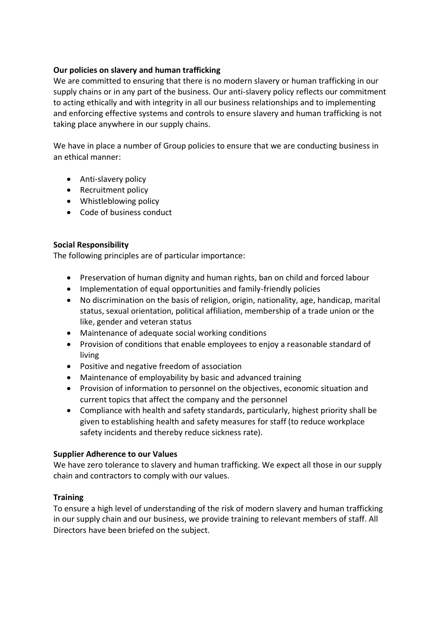# **Our policies on slavery and human trafficking**

We are committed to ensuring that there is no modern slavery or human trafficking in our supply chains or in any part of the business. Our anti-slavery policy reflects our commitment to acting ethically and with integrity in all our business relationships and to implementing and enforcing effective systems and controls to ensure slavery and human trafficking is not taking place anywhere in our supply chains.

We have in place a number of Group policies to ensure that we are conducting business in an ethical manner:

- Anti-slavery policy
- Recruitment policy
- Whistleblowing policy
- Code of business conduct

# **Social Responsibility**

The following principles are of particular importance:

- Preservation of human dignity and human rights, ban on child and forced labour
- Implementation of equal opportunities and family-friendly policies
- No discrimination on the basis of religion, origin, nationality, age, handicap, marital status, sexual orientation, political affiliation, membership of a trade union or the like, gender and veteran status
- Maintenance of adequate social working conditions
- Provision of conditions that enable employees to enjoy a reasonable standard of living
- Positive and negative freedom of association
- Maintenance of employability by basic and advanced training
- Provision of information to personnel on the objectives, economic situation and current topics that affect the company and the personnel
- Compliance with health and safety standards, particularly, highest priority shall be given to establishing health and safety measures for staff (to reduce workplace safety incidents and thereby reduce sickness rate).

# **Supplier Adherence to our Values**

We have zero tolerance to slavery and human trafficking. We expect all those in our supply chain and contractors to comply with our values.

#### **Training**

To ensure a high level of understanding of the risk of modern slavery and human trafficking in our supply chain and our business, we provide training to relevant members of staff. All Directors have been briefed on the subject.